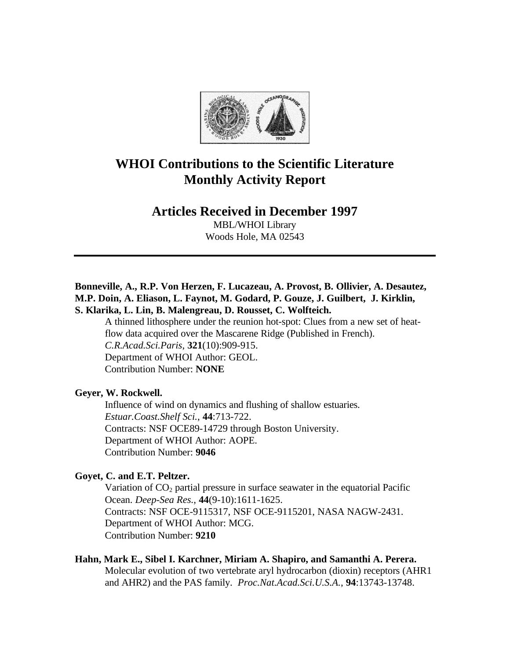

# **WHOI Contributions to the Scientific Literature Monthly Activity Report**

# **Articles Received in December 1997**

MBL/WHOI Library Woods Hole, MA 02543

# **Bonneville, A., R.P. Von Herzen, F. Lucazeau, A. Provost, B. Ollivier, A. Desautez, M.P. Doin, A. Eliason, L. Faynot, M. Godard, P. Gouze, J. Guilbert, J. Kirklin, S. Klarika, L. Lin, B. Malengreau, D. Rousset, C. Wolfteich.**

A thinned lithosphere under the reunion hot-spot: Clues from a new set of heatflow data acquired over the Mascarene Ridge (Published in French). *C.R.Acad.Sci.Paris*, **321**(10):909-915. Department of WHOI Author: GEOL. Contribution Number: **NONE**

# **Geyer, W. Rockwell.**

Influence of wind on dynamics and flushing of shallow estuaries. *Estuar.Coast.Shelf Sci.*, **44**:713-722. Contracts: NSF OCE89-14729 through Boston University. Department of WHOI Author: AOPE. Contribution Number: **9046**

#### **Goyet, C. and E.T. Peltzer.**

Variation of  $CO<sub>2</sub>$  partial pressure in surface seawater in the equatorial Pacific Ocean. *Deep-Sea Res.*, **44**(9-10):1611-1625. Contracts: NSF OCE-9115317, NSF OCE-9115201, NASA NAGW-2431. Department of WHOI Author: MCG. Contribution Number: **9210**

# **Hahn, Mark E., Sibel I. Karchner, Miriam A. Shapiro, and Samanthi A. Perera.**

Molecular evolution of two vertebrate aryl hydrocarbon (dioxin) receptors (AHR1 and AHR2) and the PAS family. *Proc.Nat.Acad.Sci.U.S.A.*, **94**:13743-13748.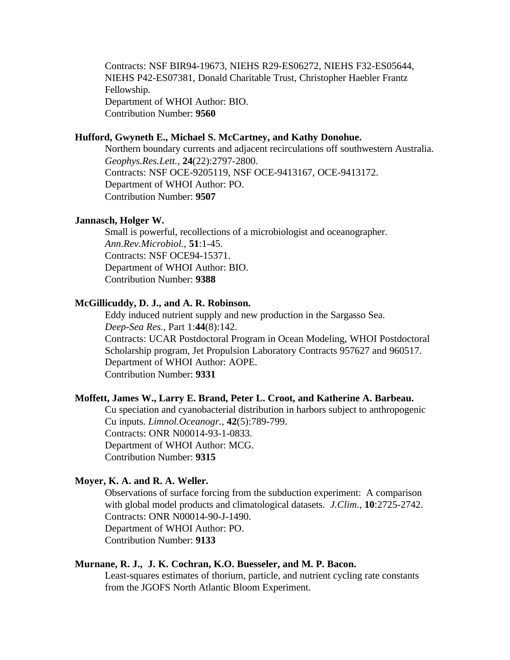Contracts: NSF BIR94-19673, NIEHS R29-ES06272, NIEHS F32-ES05644, NIEHS P42-ES07381, Donald Charitable Trust, Christopher Haebler Frantz Fellowship. Department of WHOI Author: BIO. Contribution Number: **9560**

# **Hufford, Gwyneth E., Michael S. McCartney, and Kathy Donohue.**

Northern boundary currents and adjacent recirculations off southwestern Australia. *Geophys.Res.Lett.*, **24**(22):2797-2800. Contracts: NSF OCE-9205119, NSF OCE-9413167, OCE-9413172. Department of WHOI Author: PO. Contribution Number: **9507**

#### **Jannasch, Holger W.**

Small is powerful, recollections of a microbiologist and oceanographer. *Ann.Rev.Microbiol.*, **51**:1-45. Contracts: NSF OCE94-15371. Department of WHOI Author: BIO. Contribution Number: **9388**

#### **McGillicuddy, D. J., and A. R. Robinson.**

Eddy induced nutrient supply and new production in the Sargasso Sea. *Deep-Sea Res.*, Part 1:**44**(8):142. Contracts: UCAR Postdoctoral Program in Ocean Modeling, WHOI Postdoctoral Scholarship program, Jet Propulsion Laboratory Contracts 957627 and 960517. Department of WHOI Author: AOPE. Contribution Number: **9331**

### **Moffett, James W., Larry E. Brand, Peter L. Croot, and Katherine A. Barbeau.**

Cu speciation and cyanobacterial distribution in harbors subject to anthropogenic Cu inputs. *Limnol.Oceanogr.*, **42**(5):789-799. Contracts: ONR N00014-93-1-0833. Department of WHOI Author: MCG. Contribution Number: **9315**

### **Moyer, K. A. and R. A. Weller.**

Observations of surface forcing from the subduction experiment: A comparison with global model products and climatological datasets. *J.Clim.*, **10**:2725-2742. Contracts: ONR N00014-90-J-1490. Department of WHOI Author: PO. Contribution Number: **9133**

# **Murnane, R. J., J. K. Cochran, K.O. Buesseler, and M. P. Bacon.**

Least-squares estimates of thorium, particle, and nutrient cycling rate constants from the JGOFS North Atlantic Bloom Experiment.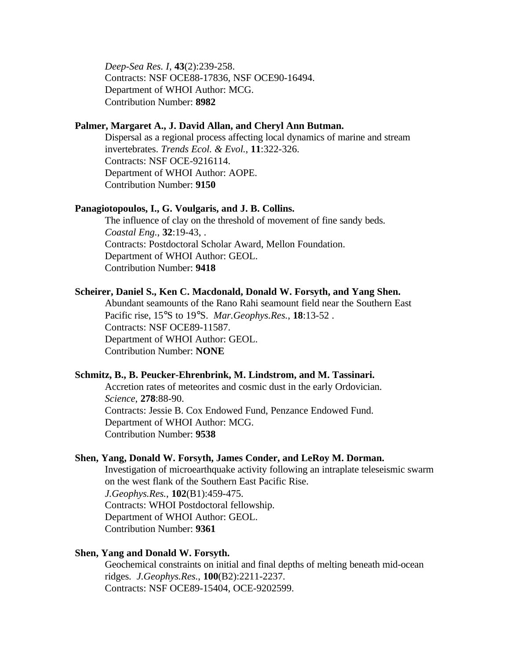*Deep-Sea Res. I*, **43**(2):239-258. Contracts: NSF OCE88-17836, NSF OCE90-16494. Department of WHOI Author: MCG. Contribution Number: **8982**

# **Palmer, Margaret A., J. David Allan, and Cheryl Ann Butman.**

Dispersal as a regional process affecting local dynamics of marine and stream invertebrates. *Trends Ecol. & Evol.*, **11**:322-326. Contracts: NSF OCE-9216114. Department of WHOI Author: AOPE. Contribution Number: **9150**

# **Panagiotopoulos, I., G. Voulgaris, and J. B. Collins.**

The influence of clay on the threshold of movement of fine sandy beds. *Coastal Eng.*, **32**:19-43, . Contracts: Postdoctoral Scholar Award, Mellon Foundation. Department of WHOI Author: GEOL. Contribution Number: **9418**

#### **Scheirer, Daniel S., Ken C. Macdonald, Donald W. Forsyth, and Yang Shen.**

Abundant seamounts of the Rano Rahi seamount field near the Southern East Pacific rise, 15°S to 19°S. *Mar.Geophys.Res.*, **18**:13-52 . Contracts: NSF OCE89-11587. Department of WHOI Author: GEOL. Contribution Number: **NONE**

#### **Schmitz, B., B. Peucker-Ehrenbrink, M. Lindstrom, and M. Tassinari.**

Accretion rates of meteorites and cosmic dust in the early Ordovician. *Science*, **278**:88-90. Contracts: Jessie B. Cox Endowed Fund, Penzance Endowed Fund. Department of WHOI Author: MCG. Contribution Number: **9538**

#### **Shen, Yang, Donald W. Forsyth, James Conder, and LeRoy M. Dorman.**

Investigation of microearthquake activity following an intraplate teleseismic swarm on the west flank of the Southern East Pacific Rise. *J.Geophys.Res.*, **102**(B1):459-475. Contracts: WHOI Postdoctoral fellowship. Department of WHOI Author: GEOL. Contribution Number: **9361**

#### **Shen, Yang and Donald W. Forsyth.**

Geochemical constraints on initial and final depths of melting beneath mid-ocean ridges. *J.Geophys.Res.*, **100**(B2):2211-2237. Contracts: NSF OCE89-15404, OCE-9202599.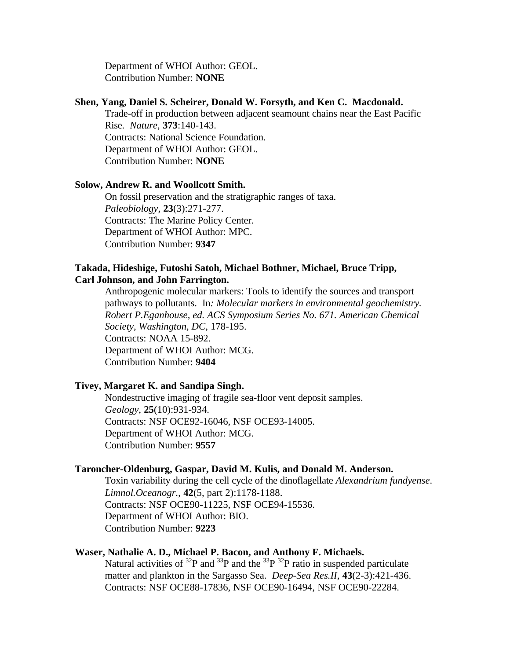Department of WHOI Author: GEOL. Contribution Number: **NONE**

#### **Shen, Yang, Daniel S. Scheirer, Donald W. Forsyth, and Ken C. Macdonald.**

Trade-off in production between adjacent seamount chains near the East Pacific Rise. *Nature*, **373**:140-143. Contracts: National Science Foundation. Department of WHOI Author: GEOL. Contribution Number: **NONE**

### **Solow, Andrew R. and Woollcott Smith.**

On fossil preservation and the stratigraphic ranges of taxa. *Paleobiology*, **23**(3):271-277. Contracts: The Marine Policy Center. Department of WHOI Author: MPC. Contribution Number: **9347**

# **Takada, Hideshige, Futoshi Satoh, Michael Bothner, Michael, Bruce Tripp, Carl Johnson, and John Farrington.**

Anthropogenic molecular markers: Tools to identify the sources and transport pathways to pollutants. In*: Molecular markers in environmental geochemistry. Robert P.Eganhouse, ed. ACS Symposium Series No. 671. American Chemical Society, Washington, DC*, 178-195. Contracts: NOAA 15-892. Department of WHOI Author: MCG. Contribution Number: **9404**

# **Tivey, Margaret K. and Sandipa Singh.**

Nondestructive imaging of fragile sea-floor vent deposit samples. *Geology*, **25**(10):931-934. Contracts: NSF OCE92-16046, NSF OCE93-14005. Department of WHOI Author: MCG. Contribution Number: **9557**

#### **Taroncher-Oldenburg, Gaspar, David M. Kulis, and Donald M. Anderson.**

Toxin variability during the cell cycle of the dinoflagellate *Alexandrium fundyense*. *Limnol.Oceanogr.*, **42**(5, part 2):1178-1188. Contracts: NSF OCE90-11225, NSF OCE94-15536. Department of WHOI Author: BIO. Contribution Number: **9223**

# **Waser, Nathalie A. D., Michael P. Bacon, and Anthony F. Michaels.**

Natural activities of  $^{32}P$  and  $^{33}P$  and the  $^{33}P$   $^{32}P$  ratio in suspended particulate matter and plankton in the Sargasso Sea. *Deep-Sea Res.II*, **43**(2-3):421-436. Contracts: NSF OCE88-17836, NSF OCE90-16494, NSF OCE90-22284.